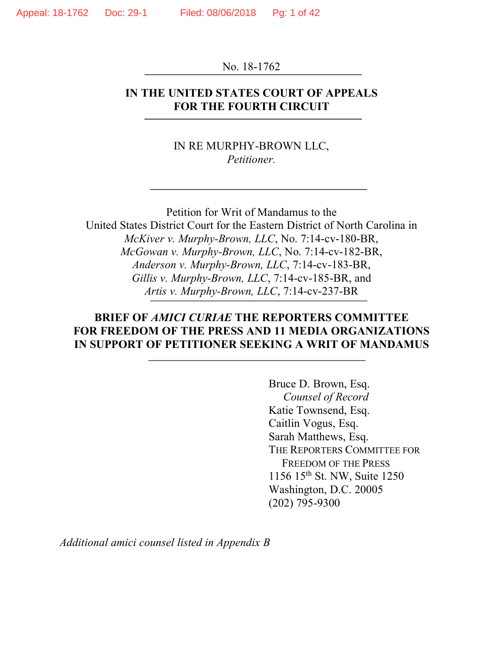No. 18-1762

## **IN THE UNITED STATES COURT OF APPEALS FOR THE FOURTH CIRCUIT**

IN RE MURPHY-BROWN LLC, *Petitioner.*

Petition for Writ of Mandamus to the United States District Court for the Eastern District of North Carolina in *McKiver v. Murphy-Brown, LLC*, No. 7:14-cv-180-BR, *McGowan v. Murphy-Brown, LLC*, No. 7:14-cv-182-BR, *Anderson v. Murphy-Brown, LLC*, 7:14-cv-183-BR, *Gillis v. Murphy-Brown, LLC*, 7:14-cv-185-BR, and *Artis v. Murphy-Brown, LLC*, 7:14-cv-237-BR

## **BRIEF OF** *AMICI CURIAE* **THE REPORTERS COMMITTEE FOR FREEDOM OF THE PRESS AND 11 MEDIA ORGANIZATIONS IN SUPPORT OF PETITIONER SEEKING A WRIT OF MANDAMUS**

Bruce D. Brown, Esq. *Counsel of Record* Katie Townsend, Esq. Caitlin Vogus, Esq. Sarah Matthews, Esq. THE REPORTERS COMMITTEE FOR FREEDOM OF THE PRESS 1156 15th St. NW, Suite 1250 Washington, D.C. 20005 (202) 795-9300

*Additional amici counsel listed in Appendix B*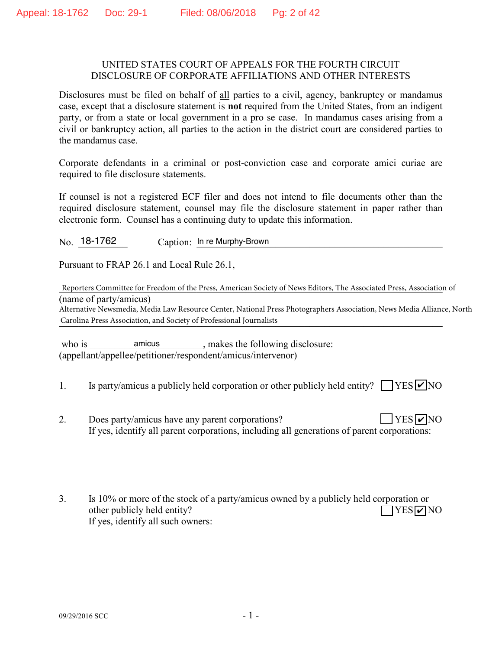#### UNITED STATES COURT OF APPEALS FOR THE FOURTH CIRCUIT DISCLOSURE OF CORPORATE AFFILIATIONS AND OTHER INTERESTS

Disclosures must be filed on behalf of all parties to a civil, agency, bankruptcy or mandamus case, except that a disclosure statement is **not** required from the United States, from an indigent party, or from a state or local government in a pro se case. In mandamus cases arising from a civil or bankruptcy action, all parties to the action in the district court are considered parties to the mandamus case.

Corporate defendants in a criminal or post-conviction case and corporate amici curiae are required to file disclosure statements.

If counsel is not a registered ECF filer and does not intend to file documents other than the required disclosure statement, counsel may file the disclosure statement in paper rather than electronic form. Counsel has a continuing duty to update this information.

No. 18-1762 Caption: In re Murphy-Brown

Pursuant to FRAP 26.1 and Local Rule 26.1,

Reporters Committee for Freedom of the Press, American Society of News Editors, The Associated Press, Association of (name of party/amicus)

Carolina Press Association, and Society of Professional Journalists Alternative Newsmedia, Media Law Resource Center, National Press Photographers Association, News Media Alliance, North

who is amicus and example in the same state of the following disclosure: (appellant/appellee/petitioner/respondent/amicus/intervenor) amicus

- 1. Is party/amicus a publicly held corporation or other publicly held entity?  $\Box$  YES  $\Box$  NO
- 2. Does party/amicus have any parent corporations? If yes, identify all parent corporations, including all generations of parent corporations:  $YES$   $\triangledown$  NO
- 3. Is 10% or more of the stock of a party/amicus owned by a publicly held corporation or other publicly held entity? If yes, identify all such owners:  $\Box$ YES $\nabla$ NO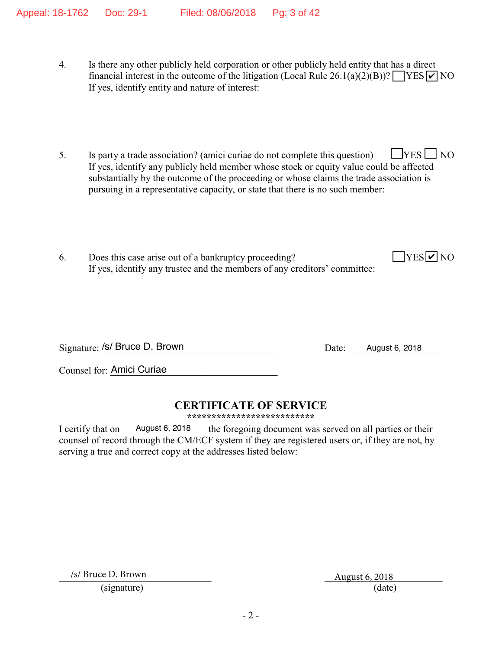- 4. Is there any other publicly held corporation or other publicly held entity that has a direct financial interest in the outcome of the litigation (Local Rule 26.1(a)(2)(B))?  $\sqrt{\text{YES} \cdot \text{V}}$  NO If yes, identify entity and nature of interest:
- 5. Is party a trade association? (amici curiae do not complete this question)  $\Box$  YES  $\Box$  NO If yes, identify any publicly held member whose stock or equity value could be affected substantially by the outcome of the proceeding or whose claims the trade association is pursuing in a representative capacity, or state that there is no such member:
- 6. Does this case arise out of a bankruptcy proceeding? If yes, identify any trustee and the members of any creditors' committee:

Signature: /s/ Bruce D. Brown Discovery Date: August 6, 2018

Counsel for: Amici Curiae

# **CERTIFICATE OF SERVICE**

**\*\*\*\*\*\*\*\*\*\*\*\*\*\*\*\*\*\*\*\*\*\*\*\*\*\***

I certify that on August 6, 2018 the foregoing document was served on all parties or their counsel of record through the CM/ECF system if they are registered users or, if they are not, by serving a true and correct copy at the addresses listed below: August 6, 2018

 $/s/$  Bruce D. Brown

August 6, 2018 (signature) (date)

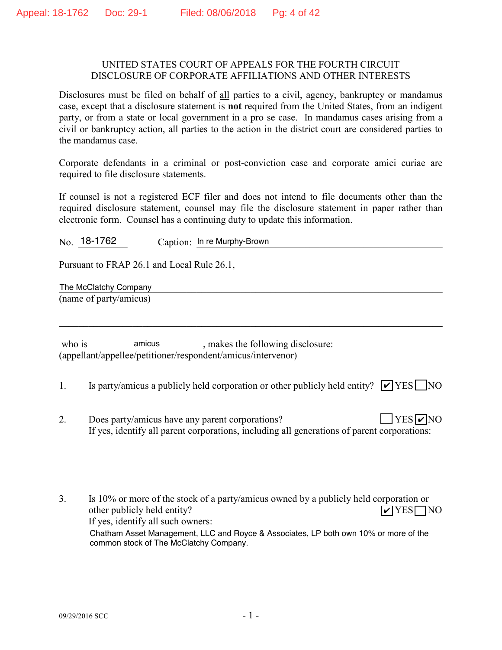#### UNITED STATES COURT OF APPEALS FOR THE FOURTH CIRCUIT DISCLOSURE OF CORPORATE AFFILIATIONS AND OTHER INTERESTS

Disclosures must be filed on behalf of all parties to a civil, agency, bankruptcy or mandamus case, except that a disclosure statement is **not** required from the United States, from an indigent party, or from a state or local government in a pro se case. In mandamus cases arising from a civil or bankruptcy action, all parties to the action in the district court are considered parties to the mandamus case.

Corporate defendants in a criminal or post-conviction case and corporate amici curiae are required to file disclosure statements.

If counsel is not a registered ECF filer and does not intend to file documents other than the required disclosure statement, counsel may file the disclosure statement in paper rather than electronic form. Counsel has a continuing duty to update this information.

No. 18-1762 Caption: In re Murphy-Brown

Pursuant to FRAP 26.1 and Local Rule 26.1,

The McClatchy Company and the McClatchy Company and the McClatchy Company and the McClatchy Company and the McClatchy Company and the McClatchy Company and the McClatchy Company and the McClatchy Company and the McClatchy (name of party/amicus)

who is amicus anicus, makes the following disclosure: (appellant/appellee/petitioner/respondent/amicus/intervenor) amicus

1. Is party/amicus a publicly held corporation or other publicly held entity?  $\triangledown$  YES NO

 $\mathcal{L}_\mathcal{L} = \{ \mathcal{L}_\mathcal{L} = \{ \mathcal{L}_\mathcal{L} = \{ \mathcal{L}_\mathcal{L} = \{ \mathcal{L}_\mathcal{L} = \{ \mathcal{L}_\mathcal{L} = \{ \mathcal{L}_\mathcal{L} = \{ \mathcal{L}_\mathcal{L} = \{ \mathcal{L}_\mathcal{L} = \{ \mathcal{L}_\mathcal{L} = \{ \mathcal{L}_\mathcal{L} = \{ \mathcal{L}_\mathcal{L} = \{ \mathcal{L}_\mathcal{L} = \{ \mathcal{L}_\mathcal{L} = \{ \mathcal{L}_\mathcal{$ 

2. Does party/amicus have any parent corporations? If yes, identify all parent corporations, including all generations of parent corporations:  $YES$   $\neg$  NO

3. Is 10% or more of the stock of a party/amicus owned by a publicly held corporation or other publicly held entity? If yes, identify all such owners:  $\triangledown$ YES $\square$ NO Chatham Asset Management, LLC and Royce & Associates, LP both own 10% or more of the common stock of The McClatchy Company.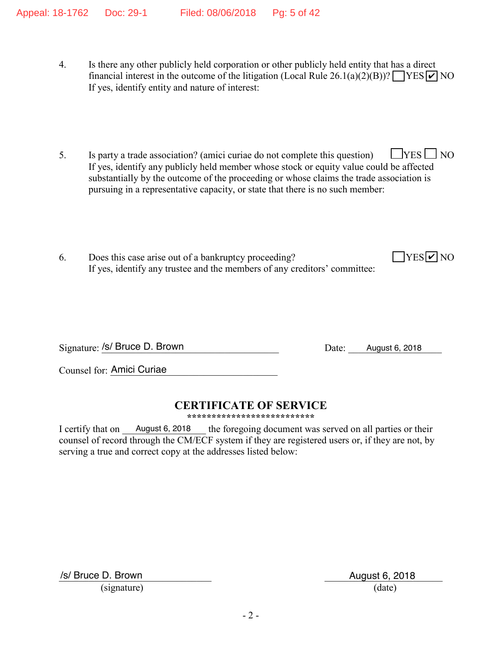- 4. Is there any other publicly held corporation or other publicly held entity that has a direct financial interest in the outcome of the litigation (Local Rule 26.1(a)(2)(B))?  $\sqrt{\text{YES} \cdot \text{V}}$  NO If yes, identify entity and nature of interest:
- 5. Is party a trade association? (amici curiae do not complete this question)  $\Box$  YES  $\Box$  NO If yes, identify any publicly held member whose stock or equity value could be affected substantially by the outcome of the proceeding or whose claims the trade association is pursuing in a representative capacity, or state that there is no such member:
- 6. Does this case arise out of a bankruptcy proceeding? If yes, identify any trustee and the members of any creditors' committee:

Signature: /s/ Bruce D. Brown Discovery Date: August 6, 2018

 $YES$   $\overline{V}$  NO

Counsel for: Amici Curiae

# **CERTIFICATE OF SERVICE**

**\*\*\*\*\*\*\*\*\*\*\*\*\*\*\*\*\*\*\*\*\*\*\*\*\*\***

I certify that on August 6, 2018 the foregoing document was served on all parties or their counsel of record through the CM/ECF system if they are registered users or, if they are not, by serving a true and correct copy at the addresses listed below: August 6, 2018

/s/ Bruce D. Brown August 6, 2018

(signature) (date)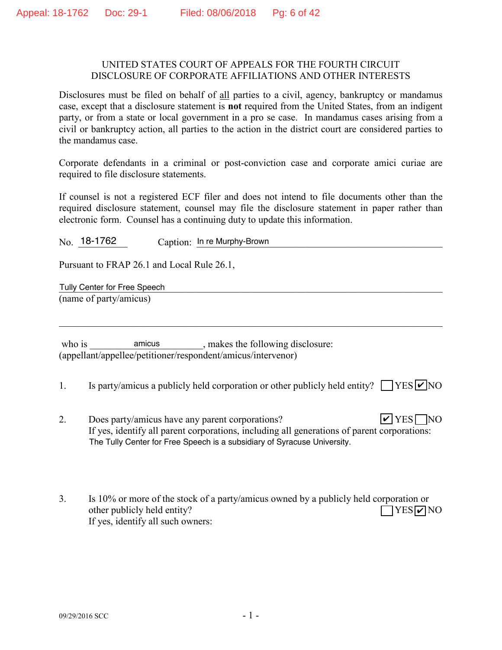#### UNITED STATES COURT OF APPEALS FOR THE FOURTH CIRCUIT DISCLOSURE OF CORPORATE AFFILIATIONS AND OTHER INTERESTS

Disclosures must be filed on behalf of all parties to a civil, agency, bankruptcy or mandamus case, except that a disclosure statement is **not** required from the United States, from an indigent party, or from a state or local government in a pro se case. In mandamus cases arising from a civil or bankruptcy action, all parties to the action in the district court are considered parties to the mandamus case.

Corporate defendants in a criminal or post-conviction case and corporate amici curiae are required to file disclosure statements.

If counsel is not a registered ECF filer and does not intend to file documents other than the required disclosure statement, counsel may file the disclosure statement in paper rather than electronic form. Counsel has a continuing duty to update this information.

No. 18-1762 Caption: In re Murphy-Brown

Pursuant to FRAP 26.1 and Local Rule 26.1,

Tully Center for Free Speech **Executive Contract of Tully Center** for Free Speech (name of party/amicus)

who is \_\_\_\_\_\_\_\_\_\_\_\_\_\_\_\_\_\_\_\_\_\_\_\_\_\_, makes the following disclosure: (appellant/appellee/petitioner/respondent/amicus/intervenor)

1. Is party/amicus a publicly held corporation or other publicly held entity?  $\Box$  YES  $\Box$  NO

 $\mathcal{L}_\mathcal{L} = \{ \mathcal{L}_\mathcal{L} = \{ \mathcal{L}_\mathcal{L} = \{ \mathcal{L}_\mathcal{L} = \{ \mathcal{L}_\mathcal{L} = \{ \mathcal{L}_\mathcal{L} = \{ \mathcal{L}_\mathcal{L} = \{ \mathcal{L}_\mathcal{L} = \{ \mathcal{L}_\mathcal{L} = \{ \mathcal{L}_\mathcal{L} = \{ \mathcal{L}_\mathcal{L} = \{ \mathcal{L}_\mathcal{L} = \{ \mathcal{L}_\mathcal{L} = \{ \mathcal{L}_\mathcal{L} = \{ \mathcal{L}_\mathcal{$ 

- 2. Does party/amicus have any parent corporations? If yes, identify all parent corporations, including all generations of parent corporations:  $\triangledown$  YES  $\triangledown$  NO The Tully Center for Free Speech is a subsidiary of Syracuse University.
- 3. Is 10% or more of the stock of a party/amicus owned by a publicly held corporation or other publicly held entity? If yes, identify all such owners:  $\Box$ YES $\nabla$ NO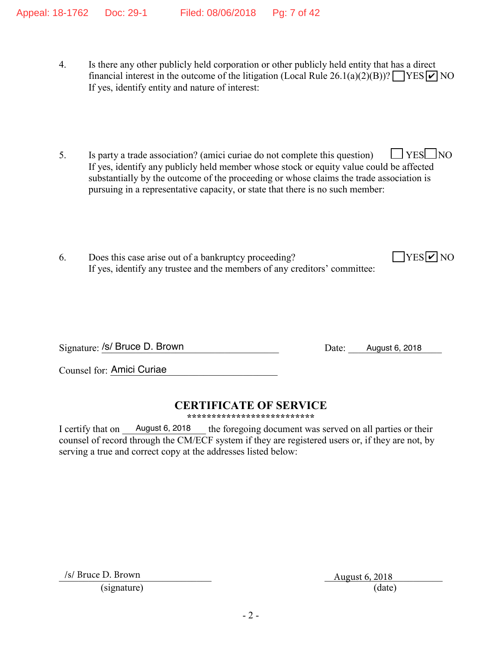- 4. Is there any other publicly held corporation or other publicly held entity that has a direct financial interest in the outcome of the litigation (Local Rule 26.1(a)(2)(B))?  $\sqrt{\text{YES} \cdot \text{V}}$  NO If yes, identify entity and nature of interest:
- 5. Is party a trade association? (amici curiae do not complete this question)  $\Box$  YES  $\Box$  NO If yes, identify any publicly held member whose stock or equity value could be affected substantially by the outcome of the proceeding or whose claims the trade association is pursuing in a representative capacity, or state that there is no such member:
- 6. Does this case arise out of a bankruptcy proceeding? If yes, identify any trustee and the members of any creditors' committee:

Signature: /s/ Bruce D. Brown Discovery Date: August 6, 2018

 $YES$   $\overline{V}$  NO

Counsel for: Amici Curiae

# **CERTIFICATE OF SERVICE**

**\*\*\*\*\*\*\*\*\*\*\*\*\*\*\*\*\*\*\*\*\*\*\*\*\*\***

I certify that on August 6, 2018 the foregoing document was served on all parties or their counsel of record through the CM/ECF system if they are registered users or, if they are not, by serving a true and correct copy at the addresses listed below: August 6, 2018

/s/ Bruce D. Brown

August 6, 2018 (signature) (date)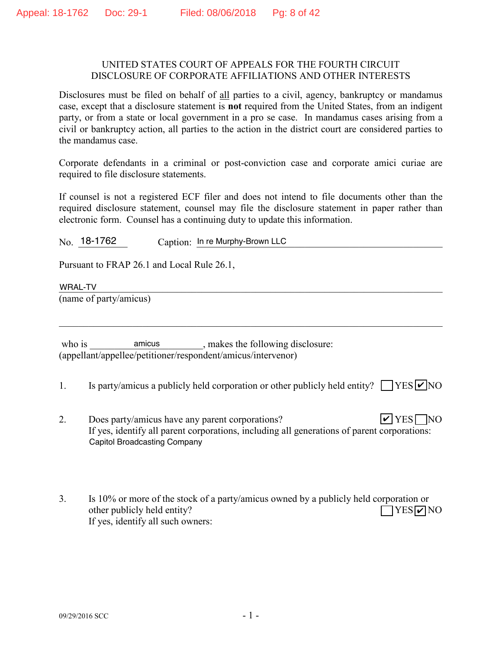#### UNITED STATES COURT OF APPEALS FOR THE FOURTH CIRCUIT DISCLOSURE OF CORPORATE AFFILIATIONS AND OTHER INTERESTS

Disclosures must be filed on behalf of all parties to a civil, agency, bankruptcy or mandamus case, except that a disclosure statement is **not** required from the United States, from an indigent party, or from a state or local government in a pro se case. In mandamus cases arising from a civil or bankruptcy action, all parties to the action in the district court are considered parties to the mandamus case.

Corporate defendants in a criminal or post-conviction case and corporate amici curiae are required to file disclosure statements.

If counsel is not a registered ECF filer and does not intend to file documents other than the required disclosure statement, counsel may file the disclosure statement in paper rather than electronic form. Counsel has a continuing duty to update this information.

No. 18-1762 Caption: In re Murphy-Brown LLC

Pursuant to FRAP 26.1 and Local Rule 26.1,

WRAL-TV WRAL-TV

(name of party/amicus)

who is \_\_\_\_\_\_\_\_\_\_\_\_\_\_\_\_\_\_\_\_\_\_\_\_\_\_, makes the following disclosure: (appellant/appellee/petitioner/respondent/amicus/intervenor)

1. Is party/amicus a publicly held corporation or other publicly held entity?  $\Box$  YES  $\Box$  NO

 $\mathcal{L}_\mathcal{L} = \{ \mathcal{L}_\mathcal{L} = \{ \mathcal{L}_\mathcal{L} = \{ \mathcal{L}_\mathcal{L} = \{ \mathcal{L}_\mathcal{L} = \{ \mathcal{L}_\mathcal{L} = \{ \mathcal{L}_\mathcal{L} = \{ \mathcal{L}_\mathcal{L} = \{ \mathcal{L}_\mathcal{L} = \{ \mathcal{L}_\mathcal{L} = \{ \mathcal{L}_\mathcal{L} = \{ \mathcal{L}_\mathcal{L} = \{ \mathcal{L}_\mathcal{L} = \{ \mathcal{L}_\mathcal{L} = \{ \mathcal{L}_\mathcal{$ 

- 2. Does party/amicus have any parent corporations? If yes, identify all parent corporations, including all generations of parent corporations:  $\triangledown$  YES  $\triangledown$  NO Capitol Broadcasting Company
- 3. Is 10% or more of the stock of a party/amicus owned by a publicly held corporation or other publicly held entity? If yes, identify all such owners:  $\Box$ YES $\nabla$ NO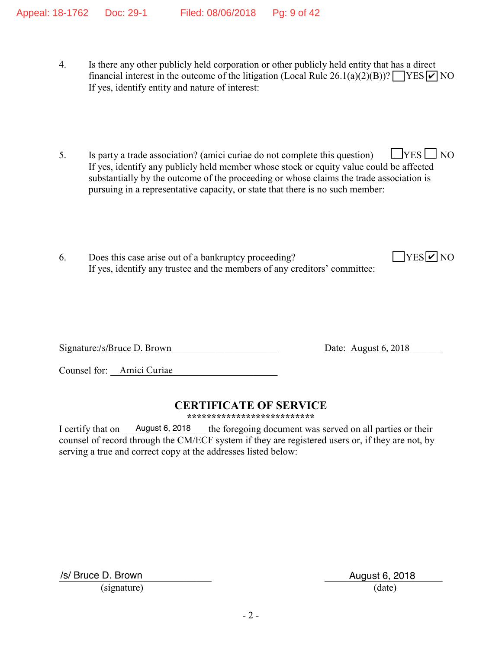- 4. Is there any other publicly held corporation or other publicly held entity that has a direct financial interest in the outcome of the litigation (Local Rule 26.1(a)(2)(B))?  $\sqrt{\text{YES} \cdot \text{V}}$  NO If yes, identify entity and nature of interest:
- 5. Is party a trade association? (amici curiae do not complete this question)  $\Box$  YES  $\Box$  NO If yes, identify any publicly held member whose stock or equity value could be affected substantially by the outcome of the proceeding or whose claims the trade association is pursuing in a representative capacity, or state that there is no such member:
- 6. Does this case arise out of a bankruptcy proceeding? If yes, identify any trustee and the members of any creditors' committee:

Signature:/s/Bruce D. Brown Date: August 6, 2018

Date: August  $6, 2018$ 

 $YES$   $\overline{V}$  NO

Counsel for: <u>Amici Curiae</u>

# **CERTIFICATE OF SERVICE**

**\*\*\*\*\*\*\*\*\*\*\*\*\*\*\*\*\*\*\*\*\*\*\*\*\*\***

I certify that on August 6, 2018 the foregoing document was served on all parties or their counsel of record through the CM/ECF system if they are registered users or, if they are not, by serving a true and correct copy at the addresses listed below: August 6, 2018

/s/ Bruce D. Brown August 6, 2018

(signature) (date)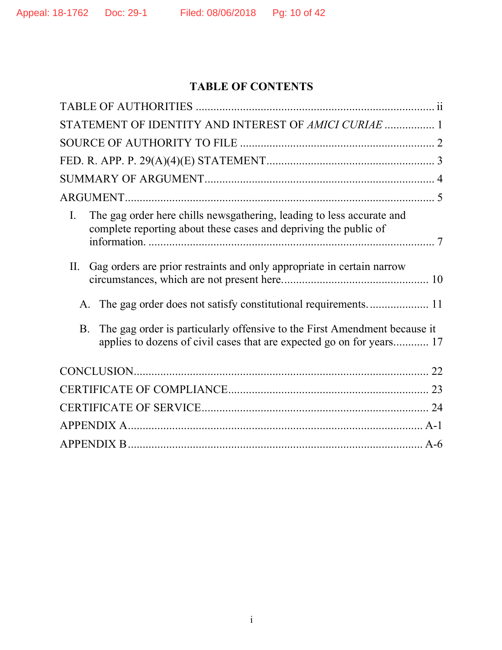# **TABLE OF CONTENTS**

|                | STATEMENT OF IDENTITY AND INTEREST OF AMICI CURIAE  1                                                                                              |  |
|----------------|----------------------------------------------------------------------------------------------------------------------------------------------------|--|
|                |                                                                                                                                                    |  |
|                |                                                                                                                                                    |  |
|                |                                                                                                                                                    |  |
|                |                                                                                                                                                    |  |
| $\mathbf{I}$ . | The gag order here chills newsgathering, leading to less accurate and<br>complete reporting about these cases and depriving the public of          |  |
| II.            | Gag orders are prior restraints and only appropriate in certain narrow                                                                             |  |
|                |                                                                                                                                                    |  |
| <b>B</b> .     | The gag order is particularly offensive to the First Amendment because it<br>applies to dozens of civil cases that are expected go on for years 17 |  |
|                |                                                                                                                                                    |  |
|                |                                                                                                                                                    |  |
|                |                                                                                                                                                    |  |
|                |                                                                                                                                                    |  |
|                |                                                                                                                                                    |  |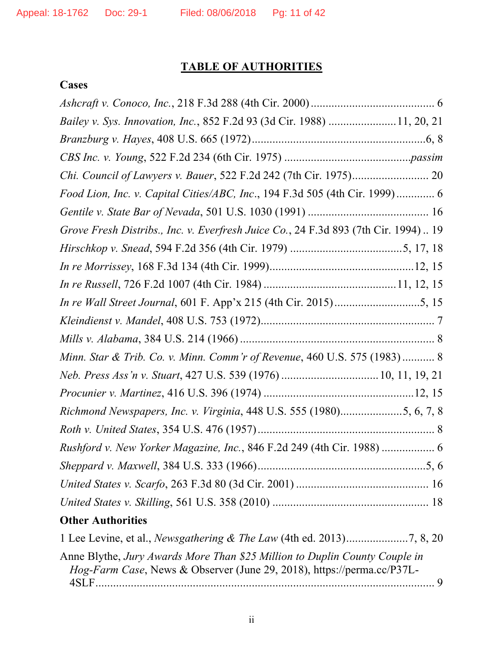# **TABLE OF AUTHORITIES**

## **Cases**

| Bailey v. Sys. Innovation, Inc., 852 F.2d 93 (3d Cir. 1988) 11, 20, 21                                                                                       |
|--------------------------------------------------------------------------------------------------------------------------------------------------------------|
|                                                                                                                                                              |
|                                                                                                                                                              |
|                                                                                                                                                              |
| Food Lion, Inc. v. Capital Cities/ABC, Inc., 194 F.3d 505 (4th Cir. 1999) 6                                                                                  |
|                                                                                                                                                              |
| Grove Fresh Distribs., Inc. v. Everfresh Juice Co., 24 F.3d 893 (7th Cir. 1994) 19                                                                           |
|                                                                                                                                                              |
|                                                                                                                                                              |
|                                                                                                                                                              |
|                                                                                                                                                              |
|                                                                                                                                                              |
|                                                                                                                                                              |
| Minn. Star & Trib. Co. v. Minn. Comm'r of Revenue, 460 U.S. 575 (1983) 8                                                                                     |
|                                                                                                                                                              |
|                                                                                                                                                              |
| Richmond Newspapers, Inc. v. Virginia, 448 U.S. 555 (1980)5, 6, 7, 8                                                                                         |
|                                                                                                                                                              |
|                                                                                                                                                              |
|                                                                                                                                                              |
|                                                                                                                                                              |
|                                                                                                                                                              |
| <b>Other Authorities</b>                                                                                                                                     |
|                                                                                                                                                              |
| Anne Blythe, Jury Awards More Than \$25 Million to Duplin County Couple in<br><i>Hog-Farm Case</i> , News & Observer (June 29, 2018), https://perma.cc/P37L- |
|                                                                                                                                                              |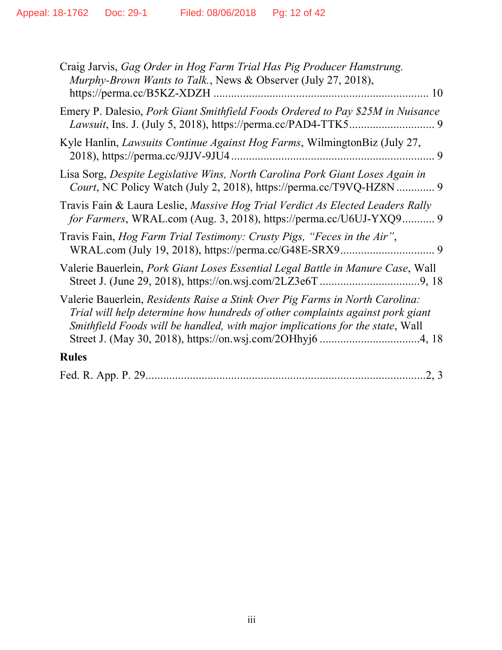| Craig Jarvis, Gag Order in Hog Farm Trial Has Pig Producer Hamstrung.<br>Murphy-Brown Wants to Talk., News & Observer (July 27, 2018),<br>10                                                                                                   |
|------------------------------------------------------------------------------------------------------------------------------------------------------------------------------------------------------------------------------------------------|
| Emery P. Dalesio, Pork Giant Smithfield Foods Ordered to Pay \$25M in Nuisance                                                                                                                                                                 |
| Kyle Hanlin, <i>Lawsuits Continue Against Hog Farms</i> , WilmingtonBiz (July 27,<br>2018), https://perma.cc/9JJV-9JU4.<br>9                                                                                                                   |
| Lisa Sorg, Despite Legislative Wins, North Carolina Pork Giant Loses Again in<br>Court, NC Policy Watch (July 2, 2018), https://perma.cc/T9VQ-HZ8N  9                                                                                          |
| Travis Fain & Laura Leslie, Massive Hog Trial Verdict As Elected Leaders Rally<br>for Farmers, WRAL.com (Aug. 3, 2018), https://perma.cc/U6UJ-YXQ9 9                                                                                           |
| Travis Fain, Hog Farm Trial Testimony: Crusty Pigs, "Feces in the Air",                                                                                                                                                                        |
| Valerie Bauerlein, Pork Giant Loses Essential Legal Battle in Manure Case, Wall                                                                                                                                                                |
| Valerie Bauerlein, Residents Raise a Stink Over Pig Farms in North Carolina:<br>Trial will help determine how hundreds of other complaints against pork giant<br>Smithfield Foods will be handled, with major implications for the state, Wall |
| <b>Rules</b>                                                                                                                                                                                                                                   |
| .2, 3                                                                                                                                                                                                                                          |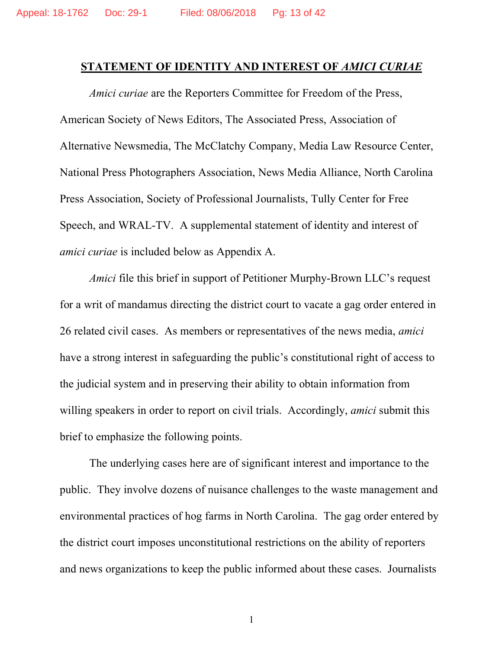### **STATEMENT OF IDENTITY AND INTEREST OF** *AMICI CURIAE*

*Amici curiae* are the Reporters Committee for Freedom of the Press, American Society of News Editors, The Associated Press, Association of Alternative Newsmedia, The McClatchy Company, Media Law Resource Center, National Press Photographers Association, News Media Alliance, North Carolina Press Association, Society of Professional Journalists, Tully Center for Free Speech, and WRAL-TV. A supplemental statement of identity and interest of *amici curiae* is included below as Appendix A.

*Amici* file this brief in support of Petitioner Murphy-Brown LLC's request for a writ of mandamus directing the district court to vacate a gag order entered in 26 related civil cases. As members or representatives of the news media, *amici*  have a strong interest in safeguarding the public's constitutional right of access to the judicial system and in preserving their ability to obtain information from willing speakers in order to report on civil trials. Accordingly, *amici* submit this brief to emphasize the following points.

The underlying cases here are of significant interest and importance to the public. They involve dozens of nuisance challenges to the waste management and environmental practices of hog farms in North Carolina. The gag order entered by the district court imposes unconstitutional restrictions on the ability of reporters and news organizations to keep the public informed about these cases. Journalists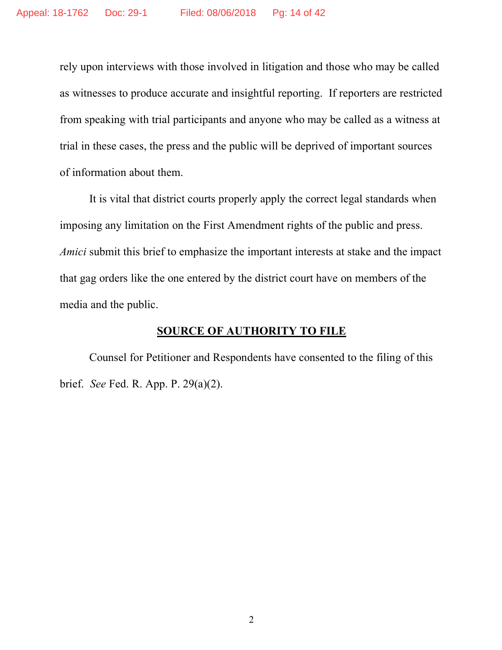rely upon interviews with those involved in litigation and those who may be called as witnesses to produce accurate and insightful reporting. If reporters are restricted from speaking with trial participants and anyone who may be called as a witness at trial in these cases, the press and the public will be deprived of important sources of information about them.

It is vital that district courts properly apply the correct legal standards when imposing any limitation on the First Amendment rights of the public and press. *Amici* submit this brief to emphasize the important interests at stake and the impact that gag orders like the one entered by the district court have on members of the media and the public.

## **SOURCE OF AUTHORITY TO FILE**

Counsel for Petitioner and Respondents have consented to the filing of this brief. *See* Fed. R. App. P. 29(a)(2).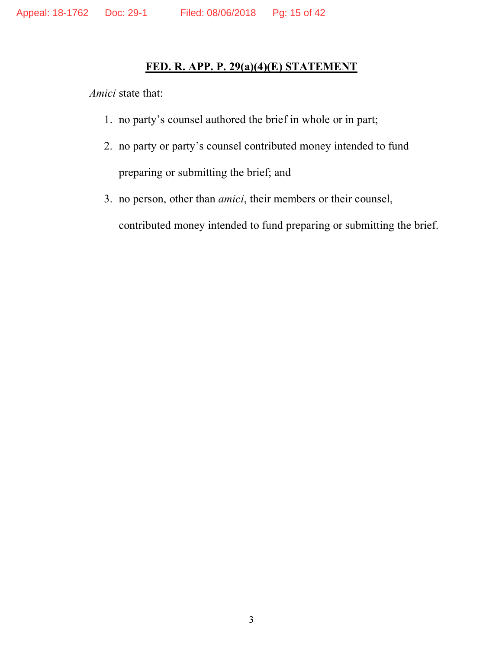## **FED. R. APP. P. 29(a)(4)(E) STATEMENT**

*Amici* state that:

- 1. no party's counsel authored the brief in whole or in part;
- 2. no party or party's counsel contributed money intended to fund preparing or submitting the brief; and
- 3. no person, other than *amici*, their members or their counsel, contributed money intended to fund preparing or submitting the brief.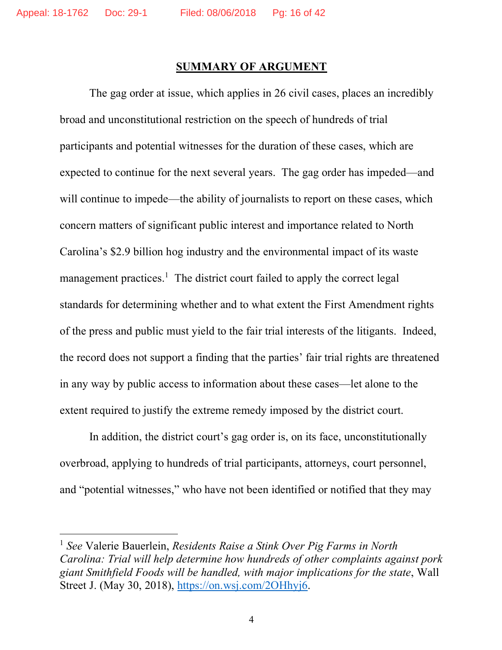### **SUMMARY OF ARGUMENT**

The gag order at issue, which applies in 26 civil cases, places an incredibly broad and unconstitutional restriction on the speech of hundreds of trial participants and potential witnesses for the duration of these cases, which are expected to continue for the next several years. The gag order has impeded—and will continue to impede—the ability of journalists to report on these cases, which concern matters of significant public interest and importance related to North Carolina's \$2.9 billion hog industry and the environmental impact of its waste management practices.<sup>1</sup> The district court failed to apply the correct legal standards for determining whether and to what extent the First Amendment rights of the press and public must yield to the fair trial interests of the litigants. Indeed, the record does not support a finding that the parties' fair trial rights are threatened in any way by public access to information about these cases—let alone to the extent required to justify the extreme remedy imposed by the district court.

In addition, the district court's gag order is, on its face, unconstitutionally overbroad, applying to hundreds of trial participants, attorneys, court personnel, and "potential witnesses," who have not been identified or notified that they may

 <sup>1</sup> *See* Valerie Bauerlein, *Residents Raise a Stink Over Pig Farms in North Carolina: Trial will help determine how hundreds of other complaints against pork giant Smithfield Foods will be handled, with major implications for the state*, Wall Street J. (May 30, 2018), https://on.wsj.com/2OHhyj6.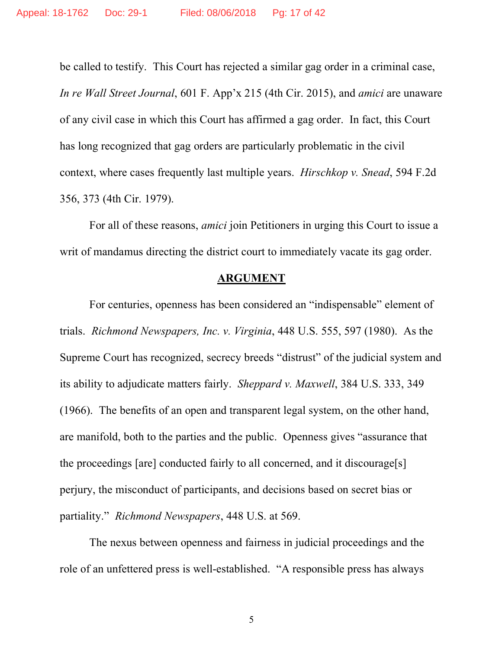be called to testify. This Court has rejected a similar gag order in a criminal case, *In re Wall Street Journal*, 601 F. App'x 215 (4th Cir. 2015), and *amici* are unaware of any civil case in which this Court has affirmed a gag order. In fact, this Court has long recognized that gag orders are particularly problematic in the civil context, where cases frequently last multiple years. *Hirschkop v. Snead*, 594 F.2d 356, 373 (4th Cir. 1979).

For all of these reasons, *amici* join Petitioners in urging this Court to issue a writ of mandamus directing the district court to immediately vacate its gag order.

#### **ARGUMENT**

For centuries, openness has been considered an "indispensable" element of trials. *Richmond Newspapers, Inc. v. Virginia*, 448 U.S. 555, 597 (1980). As the Supreme Court has recognized, secrecy breeds "distrust" of the judicial system and its ability to adjudicate matters fairly. *Sheppard v. Maxwell*, 384 U.S. 333, 349 (1966). The benefits of an open and transparent legal system, on the other hand, are manifold, both to the parties and the public. Openness gives "assurance that the proceedings [are] conducted fairly to all concerned, and it discourage[s] perjury, the misconduct of participants, and decisions based on secret bias or partiality." *Richmond Newspapers*, 448 U.S. at 569.

The nexus between openness and fairness in judicial proceedings and the role of an unfettered press is well-established. "A responsible press has always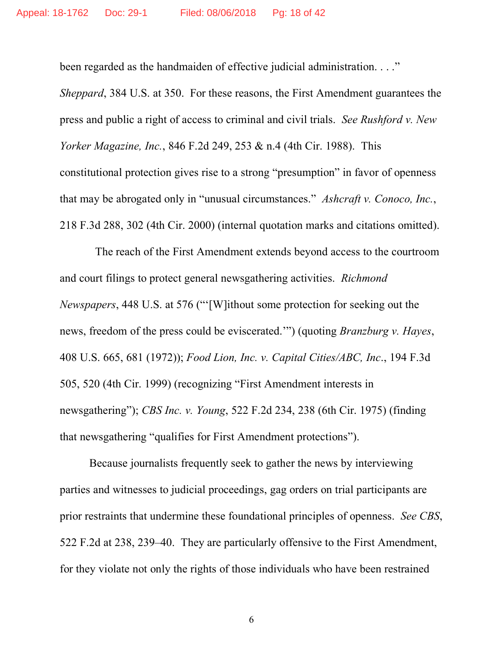been regarded as the handmaiden of effective judicial administration. . . ."

*Sheppard*, 384 U.S. at 350. For these reasons, the First Amendment guarantees the press and public a right of access to criminal and civil trials. *See Rushford v. New Yorker Magazine, Inc.*, 846 F.2d 249, 253 & n.4 (4th Cir. 1988). This constitutional protection gives rise to a strong "presumption" in favor of openness that may be abrogated only in "unusual circumstances." *Ashcraft v. Conoco, Inc.*, 218 F.3d 288, 302 (4th Cir. 2000) (internal quotation marks and citations omitted).

The reach of the First Amendment extends beyond access to the courtroom and court filings to protect general newsgathering activities. *Richmond Newspapers*, 448 U.S. at 576 ("'[W]ithout some protection for seeking out the news, freedom of the press could be eviscerated.'") (quoting *Branzburg v. Hayes*, 408 U.S. 665, 681 (1972)); *Food Lion, Inc. v. Capital Cities/ABC, Inc*., 194 F.3d 505, 520 (4th Cir. 1999) (recognizing "First Amendment interests in newsgathering"); *CBS Inc. v. Young*, 522 F.2d 234, 238 (6th Cir. 1975) (finding that newsgathering "qualifies for First Amendment protections").

Because journalists frequently seek to gather the news by interviewing parties and witnesses to judicial proceedings, gag orders on trial participants are prior restraints that undermine these foundational principles of openness. *See CBS*, 522 F.2d at 238, 239–40. They are particularly offensive to the First Amendment, for they violate not only the rights of those individuals who have been restrained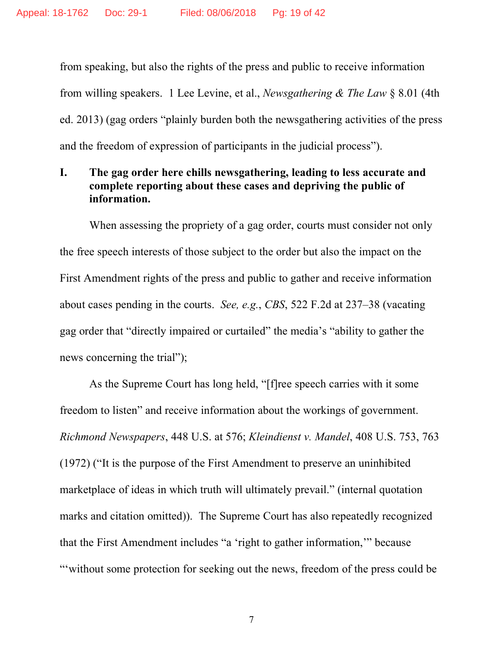from speaking, but also the rights of the press and public to receive information from willing speakers. 1 Lee Levine, et al., *Newsgathering & The Law* § 8.01 (4th ed. 2013) (gag orders "plainly burden both the newsgathering activities of the press and the freedom of expression of participants in the judicial process").

## **I. The gag order here chills newsgathering, leading to less accurate and complete reporting about these cases and depriving the public of information.**

When assessing the propriety of a gag order, courts must consider not only the free speech interests of those subject to the order but also the impact on the First Amendment rights of the press and public to gather and receive information about cases pending in the courts. *See, e.g.*, *CBS*, 522 F.2d at 237–38 (vacating gag order that "directly impaired or curtailed" the media's "ability to gather the news concerning the trial");

As the Supreme Court has long held, "[f]ree speech carries with it some freedom to listen" and receive information about the workings of government. *Richmond Newspapers*, 448 U.S. at 576; *Kleindienst v. Mandel*, 408 U.S. 753, 763 (1972) ("It is the purpose of the First Amendment to preserve an uninhibited marketplace of ideas in which truth will ultimately prevail." (internal quotation marks and citation omitted)). The Supreme Court has also repeatedly recognized that the First Amendment includes "a 'right to gather information,'" because "'without some protection for seeking out the news, freedom of the press could be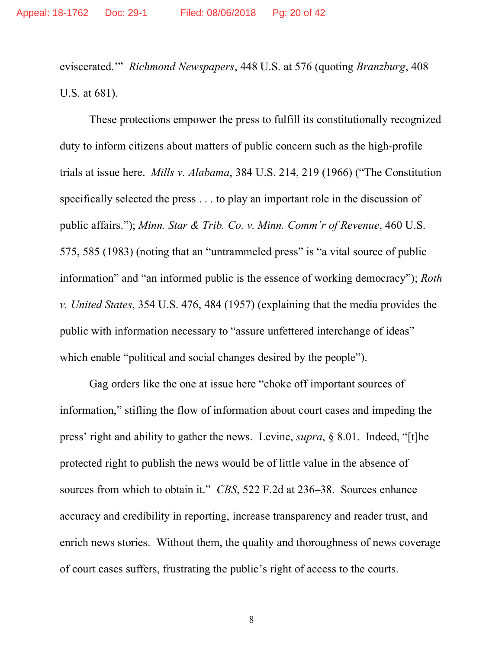eviscerated.'" *Richmond Newspapers*, 448 U.S. at 576 (quoting *Branzburg*, 408 U.S. at 681).

These protections empower the press to fulfill its constitutionally recognized duty to inform citizens about matters of public concern such as the high-profile trials at issue here. *Mills v. Alabama*, 384 U.S. 214, 219 (1966) ("The Constitution specifically selected the press . . . to play an important role in the discussion of public affairs."); *Minn. Star & Trib. Co. v. Minn. Comm'r of Revenue*, 460 U.S. 575, 585 (1983) (noting that an "untrammeled press" is "a vital source of public information" and "an informed public is the essence of working democracy"); *Roth v. United States*, 354 U.S. 476, 484 (1957) (explaining that the media provides the public with information necessary to "assure unfettered interchange of ideas" which enable "political and social changes desired by the people").

Gag orders like the one at issue here "choke off important sources of information," stifling the flow of information about court cases and impeding the press' right and ability to gather the news. Levine, *supra*, § 8.01. Indeed, "[t]he protected right to publish the news would be of little value in the absence of sources from which to obtain it." *CBS*, 522 F.2d at 236**–**38. Sources enhance accuracy and credibility in reporting, increase transparency and reader trust, and enrich news stories. Without them, the quality and thoroughness of news coverage of court cases suffers, frustrating the public's right of access to the courts.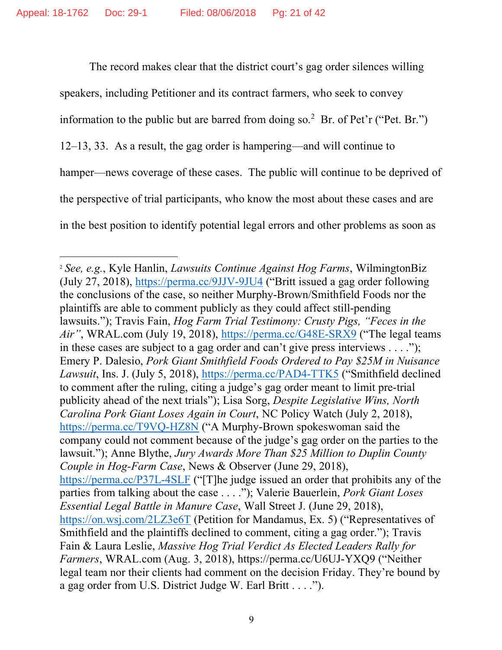The record makes clear that the district court's gag order silences willing speakers, including Petitioner and its contract farmers, who seek to convey information to the public but are barred from doing so.<sup>2</sup> Br. of Pet'r ("Pet. Br.") 12–13, 33. As a result, the gag order is hampering—and will continue to hamper—news coverage of these cases. The public will continue to be deprived of the perspective of trial participants, who know the most about these cases and are in the best position to identify potential legal errors and other problems as soon as

 <sup>2</sup> *See, e.g.*, Kyle Hanlin, *Lawsuits Continue Against Hog Farms*, WilmingtonBiz (July 27, 2018), https://perma.cc/9JJV-9JU4 ("Britt issued a gag order following the conclusions of the case, so neither Murphy-Brown/Smithfield Foods nor the plaintiffs are able to comment publicly as they could affect still-pending lawsuits."); Travis Fain, *Hog Farm Trial Testimony: Crusty Pigs, "Feces in the Air"*, WRAL.com (July 19, 2018), https://perma.cc/G48E-SRX9 ("The legal teams in these cases are subject to a gag order and can't give press interviews  $\dots$ "); Emery P. Dalesio, *Pork Giant Smithfield Foods Ordered to Pay \$25M in Nuisance Lawsuit*, Ins. J. (July 5, 2018), https://perma.cc/PAD4-TTK5 ("Smithfield declined to comment after the ruling, citing a judge's gag order meant to limit pre-trial publicity ahead of the next trials"); Lisa Sorg, *Despite Legislative Wins, North Carolina Pork Giant Loses Again in Court*, NC Policy Watch (July 2, 2018), https://perma.cc/T9VQ-HZ8N ("A Murphy-Brown spokeswoman said the company could not comment because of the judge's gag order on the parties to the lawsuit."); Anne Blythe, *Jury Awards More Than \$25 Million to Duplin County Couple in Hog-Farm Case*, News & Observer (June 29, 2018), https://perma.cc/P37L-4SLF ("[T]he judge issued an order that prohibits any of the parties from talking about the case . . . ."); Valerie Bauerlein, *Pork Giant Loses Essential Legal Battle in Manure Case*, Wall Street J. (June 29, 2018), https://on.wsj.com/2LZ3e6T (Petition for Mandamus, Ex. 5) ("Representatives of Smithfield and the plaintiffs declined to comment, citing a gag order."); Travis Fain & Laura Leslie, *Massive Hog Trial Verdict As Elected Leaders Rally for Farmers*, WRAL.com (Aug. 3, 2018), https://perma.cc/U6UJ-YXQ9 ("Neither legal team nor their clients had comment on the decision Friday. They're bound by a gag order from U.S. District Judge W. Earl Britt . . . .").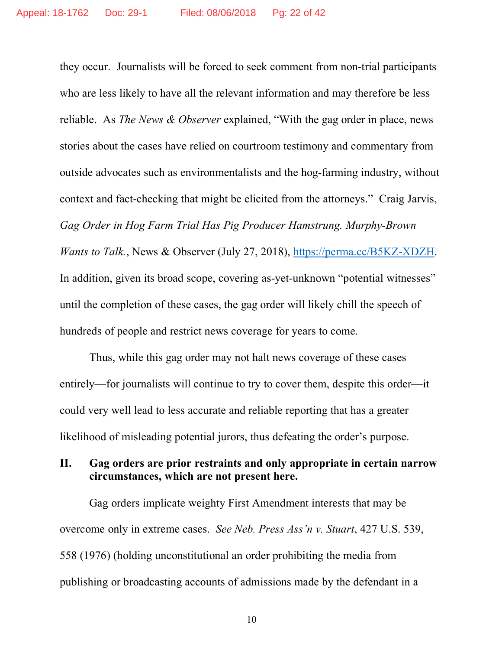they occur. Journalists will be forced to seek comment from non-trial participants who are less likely to have all the relevant information and may therefore be less reliable. As *The News & Observer* explained, "With the gag order in place, news stories about the cases have relied on courtroom testimony and commentary from outside advocates such as environmentalists and the hog-farming industry, without context and fact-checking that might be elicited from the attorneys." Craig Jarvis, *Gag Order in Hog Farm Trial Has Pig Producer Hamstrung. Murphy-Brown Wants to Talk.*, News & Observer (July 27, 2018), https://perma.cc/B5KZ-XDZH. In addition, given its broad scope, covering as-yet-unknown "potential witnesses" until the completion of these cases, the gag order will likely chill the speech of hundreds of people and restrict news coverage for years to come.

Thus, while this gag order may not halt news coverage of these cases entirely—for journalists will continue to try to cover them, despite this order—it could very well lead to less accurate and reliable reporting that has a greater likelihood of misleading potential jurors, thus defeating the order's purpose.

## **II. Gag orders are prior restraints and only appropriate in certain narrow circumstances, which are not present here.**

Gag orders implicate weighty First Amendment interests that may be overcome only in extreme cases. *See Neb. Press Ass'n v. Stuart*, 427 U.S. 539, 558 (1976) (holding unconstitutional an order prohibiting the media from publishing or broadcasting accounts of admissions made by the defendant in a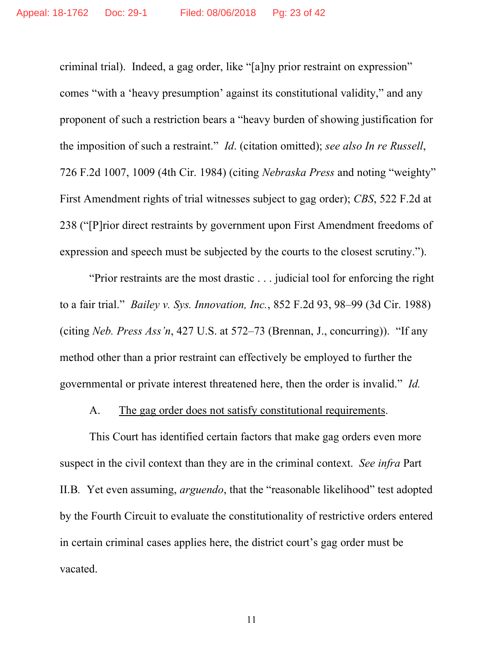criminal trial). Indeed, a gag order, like "[a]ny prior restraint on expression" comes "with a 'heavy presumption' against its constitutional validity," and any proponent of such a restriction bears a "heavy burden of showing justification for the imposition of such a restraint." *Id*. (citation omitted); *see also In re Russell*, 726 F.2d 1007, 1009 (4th Cir. 1984) (citing *Nebraska Press* and noting "weighty" First Amendment rights of trial witnesses subject to gag order); *CBS*, 522 F.2d at 238 ("[P]rior direct restraints by government upon First Amendment freedoms of expression and speech must be subjected by the courts to the closest scrutiny.").

"Prior restraints are the most drastic . . . judicial tool for enforcing the right to a fair trial." *Bailey v. Sys. Innovation, Inc.*, 852 F.2d 93, 98–99 (3d Cir. 1988) (citing *Neb. Press Ass'n*, 427 U.S. at 572–73 (Brennan, J., concurring)). "If any method other than a prior restraint can effectively be employed to further the governmental or private interest threatened here, then the order is invalid." *Id.*

#### A. The gag order does not satisfy constitutional requirements.

This Court has identified certain factors that make gag orders even more suspect in the civil context than they are in the criminal context. *See infra* Part II.B*.* Yet even assuming, *arguendo*, that the "reasonable likelihood" test adopted by the Fourth Circuit to evaluate the constitutionality of restrictive orders entered in certain criminal cases applies here, the district court's gag order must be vacated.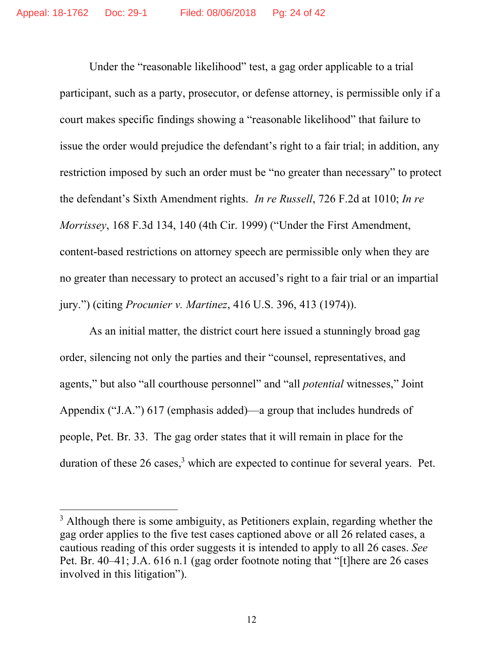Under the "reasonable likelihood" test, a gag order applicable to a trial participant, such as a party, prosecutor, or defense attorney, is permissible only if a court makes specific findings showing a "reasonable likelihood" that failure to issue the order would prejudice the defendant's right to a fair trial; in addition, any restriction imposed by such an order must be "no greater than necessary" to protect the defendant's Sixth Amendment rights. *In re Russell*, 726 F.2d at 1010; *In re Morrissey*, 168 F.3d 134, 140 (4th Cir. 1999) ("Under the First Amendment, content-based restrictions on attorney speech are permissible only when they are no greater than necessary to protect an accused's right to a fair trial or an impartial jury.") (citing *Procunier v. Martinez*, 416 U.S. 396, 413 (1974)).

As an initial matter, the district court here issued a stunningly broad gag order, silencing not only the parties and their "counsel, representatives, and agents," but also "all courthouse personnel" and "all *potential* witnesses," Joint Appendix ("J.A.") 617 (emphasis added)—a group that includes hundreds of people, Pet. Br. 33. The gag order states that it will remain in place for the duration of these 26 cases,<sup>3</sup> which are expected to continue for several years. Pet.

<sup>&</sup>lt;sup>3</sup> Although there is some ambiguity, as Petitioners explain, regarding whether the gag order applies to the five test cases captioned above or all 26 related cases, a cautious reading of this order suggests it is intended to apply to all 26 cases. *See*  Pet. Br. 40–41; J.A. 616 n.1 (gag order footnote noting that "[t]here are 26 cases involved in this litigation").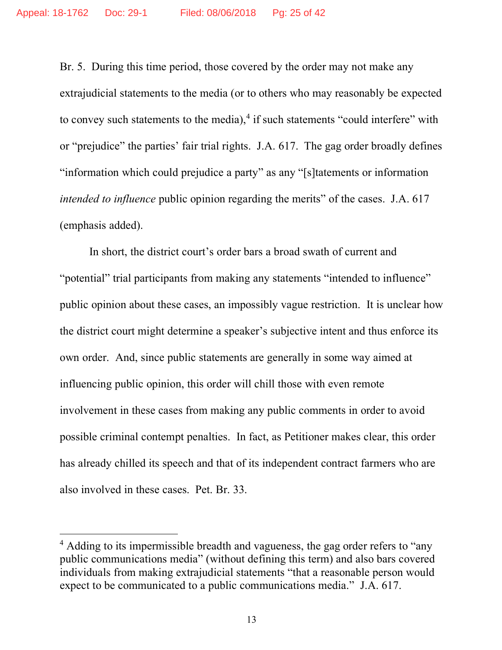Br. 5. During this time period, those covered by the order may not make any extrajudicial statements to the media (or to others who may reasonably be expected to convey such statements to the media), $4$  if such statements "could interfere" with or "prejudice" the parties' fair trial rights. J.A. 617. The gag order broadly defines "information which could prejudice a party" as any "[s]tatements or information *intended to influence* public opinion regarding the merits" of the cases. J.A. 617 (emphasis added).

In short, the district court's order bars a broad swath of current and "potential" trial participants from making any statements "intended to influence" public opinion about these cases, an impossibly vague restriction. It is unclear how the district court might determine a speaker's subjective intent and thus enforce its own order. And, since public statements are generally in some way aimed at influencing public opinion, this order will chill those with even remote involvement in these cases from making any public comments in order to avoid possible criminal contempt penalties. In fact, as Petitioner makes clear, this order has already chilled its speech and that of its independent contract farmers who are also involved in these cases. Pet. Br. 33.

<sup>&</sup>lt;sup>4</sup> Adding to its impermissible breadth and vagueness, the gag order refers to "any public communications media" (without defining this term) and also bars covered individuals from making extrajudicial statements "that a reasonable person would expect to be communicated to a public communications media." J.A. 617.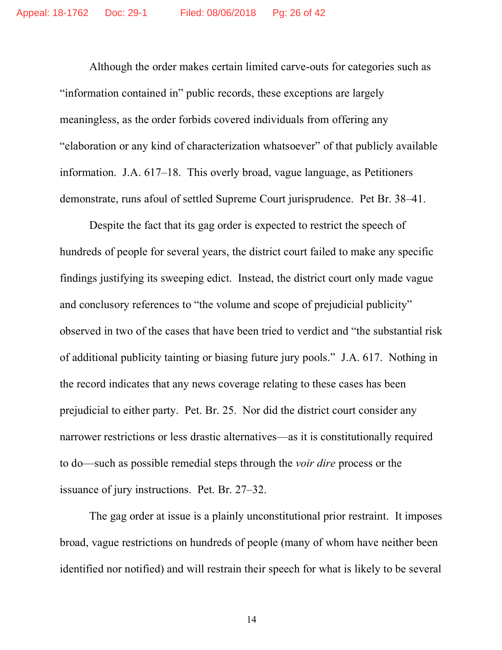Although the order makes certain limited carve-outs for categories such as "information contained in" public records, these exceptions are largely meaningless, as the order forbids covered individuals from offering any "elaboration or any kind of characterization whatsoever" of that publicly available information. J.A. 617–18. This overly broad, vague language, as Petitioners demonstrate, runs afoul of settled Supreme Court jurisprudence. Pet Br. 38–41.

Despite the fact that its gag order is expected to restrict the speech of hundreds of people for several years, the district court failed to make any specific findings justifying its sweeping edict. Instead, the district court only made vague and conclusory references to "the volume and scope of prejudicial publicity" observed in two of the cases that have been tried to verdict and "the substantial risk of additional publicity tainting or biasing future jury pools." J.A. 617. Nothing in the record indicates that any news coverage relating to these cases has been prejudicial to either party. Pet. Br. 25. Nor did the district court consider any narrower restrictions or less drastic alternatives—as it is constitutionally required to do—such as possible remedial steps through the *voir dire* process or the issuance of jury instructions. Pet. Br. 27–32.

The gag order at issue is a plainly unconstitutional prior restraint. It imposes broad, vague restrictions on hundreds of people (many of whom have neither been identified nor notified) and will restrain their speech for what is likely to be several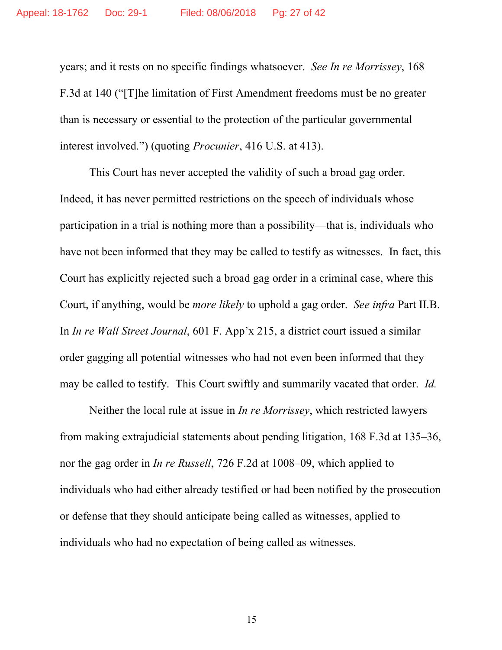years; and it rests on no specific findings whatsoever. *See In re Morrissey*, 168 F.3d at 140 ("[T]he limitation of First Amendment freedoms must be no greater than is necessary or essential to the protection of the particular governmental interest involved.") (quoting *Procunier*, 416 U.S. at 413).

This Court has never accepted the validity of such a broad gag order. Indeed, it has never permitted restrictions on the speech of individuals whose participation in a trial is nothing more than a possibility—that is, individuals who have not been informed that they may be called to testify as witnesses. In fact, this Court has explicitly rejected such a broad gag order in a criminal case, where this Court, if anything, would be *more likely* to uphold a gag order. *See infra* Part II.B. In *In re Wall Street Journal*, 601 F. App'x 215, a district court issued a similar order gagging all potential witnesses who had not even been informed that they may be called to testify. This Court swiftly and summarily vacated that order. *Id.*

Neither the local rule at issue in *In re Morrissey*, which restricted lawyers from making extrajudicial statements about pending litigation, 168 F.3d at 135–36, nor the gag order in *In re Russell*, 726 F.2d at 1008–09, which applied to individuals who had either already testified or had been notified by the prosecution or defense that they should anticipate being called as witnesses, applied to individuals who had no expectation of being called as witnesses.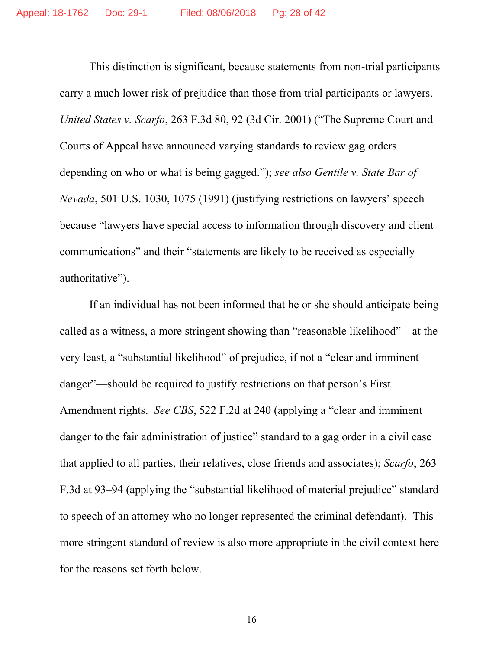This distinction is significant, because statements from non-trial participants carry a much lower risk of prejudice than those from trial participants or lawyers. *United States v. Scarfo*, 263 F.3d 80, 92 (3d Cir. 2001) ("The Supreme Court and Courts of Appeal have announced varying standards to review gag orders depending on who or what is being gagged."); *see also Gentile v. State Bar of Nevada*, 501 U.S. 1030, 1075 (1991) (justifying restrictions on lawyers' speech because "lawyers have special access to information through discovery and client communications" and their "statements are likely to be received as especially authoritative").

If an individual has not been informed that he or she should anticipate being called as a witness, a more stringent showing than "reasonable likelihood"—at the very least, a "substantial likelihood" of prejudice, if not a "clear and imminent danger"—should be required to justify restrictions on that person's First Amendment rights. *See CBS*, 522 F.2d at 240 (applying a "clear and imminent danger to the fair administration of justice" standard to a gag order in a civil case that applied to all parties, their relatives, close friends and associates); *Scarfo*, 263 F.3d at 93–94 (applying the "substantial likelihood of material prejudice" standard to speech of an attorney who no longer represented the criminal defendant). This more stringent standard of review is also more appropriate in the civil context here for the reasons set forth below.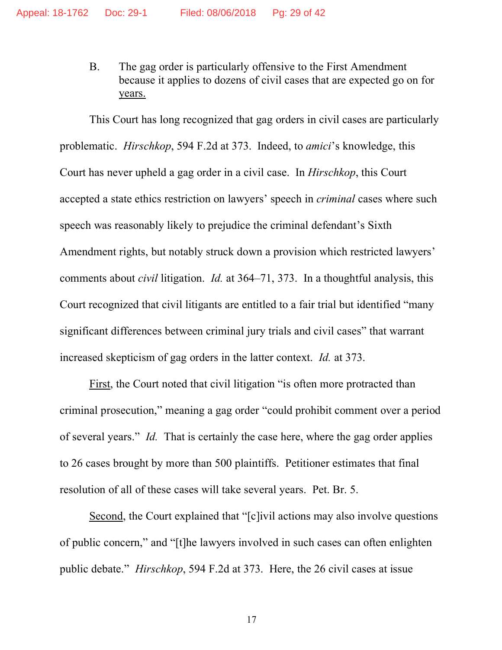B. The gag order is particularly offensive to the First Amendment because it applies to dozens of civil cases that are expected go on for years.

This Court has long recognized that gag orders in civil cases are particularly problematic. *Hirschkop*, 594 F.2d at 373. Indeed, to *amici*'s knowledge, this Court has never upheld a gag order in a civil case. In *Hirschkop*, this Court accepted a state ethics restriction on lawyers' speech in *criminal* cases where such speech was reasonably likely to prejudice the criminal defendant's Sixth Amendment rights, but notably struck down a provision which restricted lawyers' comments about *civil* litigation. *Id.* at 364–71, 373. In a thoughtful analysis, this Court recognized that civil litigants are entitled to a fair trial but identified "many significant differences between criminal jury trials and civil cases" that warrant increased skepticism of gag orders in the latter context. *Id.* at 373.

First, the Court noted that civil litigation "is often more protracted than criminal prosecution," meaning a gag order "could prohibit comment over a period of several years." *Id.* That is certainly the case here, where the gag order applies to 26 cases brought by more than 500 plaintiffs. Petitioner estimates that final resolution of all of these cases will take several years. Pet. Br. 5.

Second, the Court explained that "[c]ivil actions may also involve questions of public concern," and "[t]he lawyers involved in such cases can often enlighten public debate." *Hirschkop*, 594 F.2d at 373. Here, the 26 civil cases at issue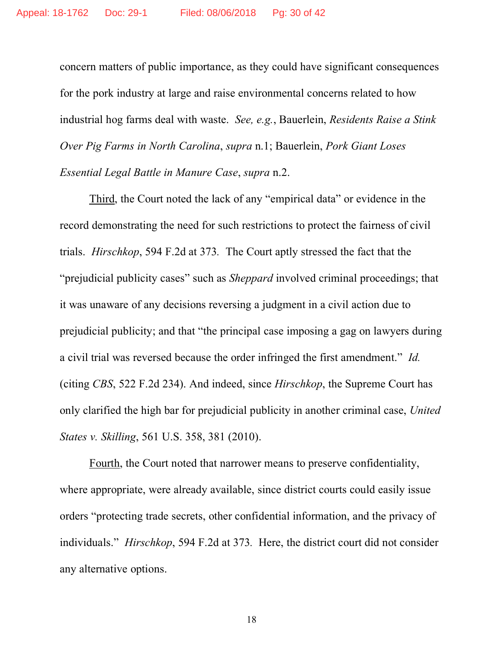concern matters of public importance, as they could have significant consequences for the pork industry at large and raise environmental concerns related to how industrial hog farms deal with waste. *See, e.g.*, Bauerlein, *Residents Raise a Stink Over Pig Farms in North Carolina*, *supra* n.1; Bauerlein, *Pork Giant Loses Essential Legal Battle in Manure Case*, *supra* n.2.

Third, the Court noted the lack of any "empirical data" or evidence in the record demonstrating the need for such restrictions to protect the fairness of civil trials. *Hirschkop*, 594 F.2d at 373*.* The Court aptly stressed the fact that the "prejudicial publicity cases" such as *Sheppard* involved criminal proceedings; that it was unaware of any decisions reversing a judgment in a civil action due to prejudicial publicity; and that "the principal case imposing a gag on lawyers during a civil trial was reversed because the order infringed the first amendment." *Id.* (citing *CBS*, 522 F.2d 234). And indeed, since *Hirschkop*, the Supreme Court has only clarified the high bar for prejudicial publicity in another criminal case, *United States v. Skilling*, 561 U.S. 358, 381 (2010).

Fourth, the Court noted that narrower means to preserve confidentiality, where appropriate, were already available, since district courts could easily issue orders "protecting trade secrets, other confidential information, and the privacy of individuals." *Hirschkop*, 594 F.2d at 373*.* Here, the district court did not consider any alternative options.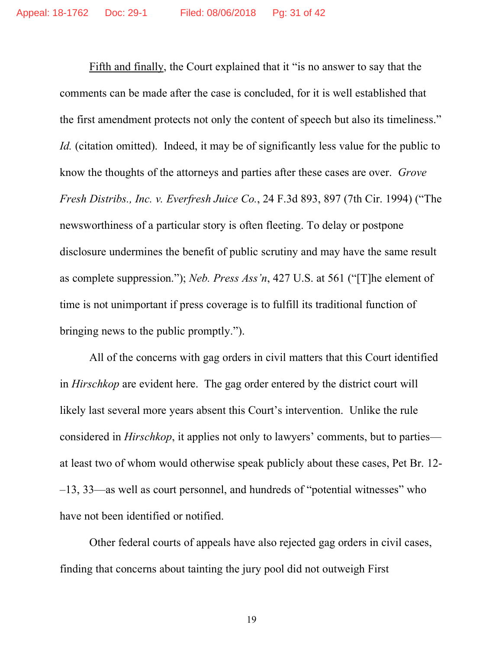Fifth and finally, the Court explained that it "is no answer to say that the comments can be made after the case is concluded, for it is well established that the first amendment protects not only the content of speech but also its timeliness." *Id.* (citation omitted). Indeed, it may be of significantly less value for the public to know the thoughts of the attorneys and parties after these cases are over. *Grove Fresh Distribs., Inc. v. Everfresh Juice Co.*, 24 F.3d 893, 897 (7th Cir. 1994) ("The newsworthiness of a particular story is often fleeting. To delay or postpone disclosure undermines the benefit of public scrutiny and may have the same result as complete suppression."); *Neb. Press Ass'n*, 427 U.S. at 561 ("[T]he element of time is not unimportant if press coverage is to fulfill its traditional function of bringing news to the public promptly.").

All of the concerns with gag orders in civil matters that this Court identified in *Hirschkop* are evident here. The gag order entered by the district court will likely last several more years absent this Court's intervention. Unlike the rule considered in *Hirschkop*, it applies not only to lawyers' comments, but to parties at least two of whom would otherwise speak publicly about these cases, Pet Br. 12- –13, 33—as well as court personnel, and hundreds of "potential witnesses" who have not been identified or notified.

Other federal courts of appeals have also rejected gag orders in civil cases, finding that concerns about tainting the jury pool did not outweigh First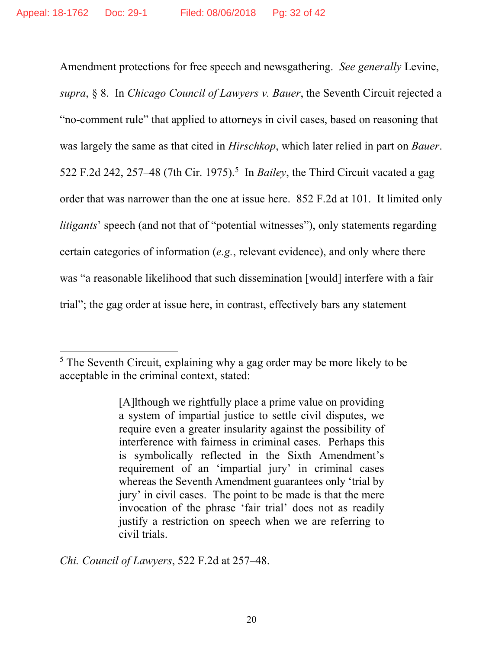Amendment protections for free speech and newsgathering. *See generally* Levine, *supra*, § 8. In *Chicago Council of Lawyers v. Bauer*, the Seventh Circuit rejected a "no-comment rule" that applied to attorneys in civil cases, based on reasoning that was largely the same as that cited in *Hirschkop*, which later relied in part on *Bauer*. 522 F.2d 242, 257–48 (7th Cir. 1975). <sup>5</sup> In *Bailey*, the Third Circuit vacated a gag order that was narrower than the one at issue here. 852 F.2d at 101. It limited only *litigants*' speech (and not that of "potential witnesses"), only statements regarding certain categories of information (*e.g.*, relevant evidence), and only where there was "a reasonable likelihood that such dissemination [would] interfere with a fair trial"; the gag order at issue here, in contrast, effectively bars any statement

*Chi. Council of Lawyers*, 522 F.2d at 257–48.

<sup>&</sup>lt;sup>5</sup> The Seventh Circuit, explaining why a gag order may be more likely to be acceptable in the criminal context, stated:

<sup>[</sup>A]lthough we rightfully place a prime value on providing a system of impartial justice to settle civil disputes, we require even a greater insularity against the possibility of interference with fairness in criminal cases. Perhaps this is symbolically reflected in the Sixth Amendment's requirement of an 'impartial jury' in criminal cases whereas the Seventh Amendment guarantees only 'trial by jury' in civil cases. The point to be made is that the mere invocation of the phrase 'fair trial' does not as readily justify a restriction on speech when we are referring to civil trials.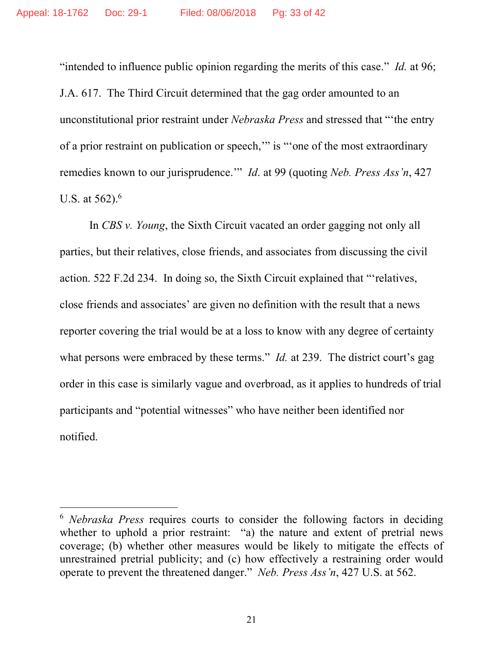"intended to influence public opinion regarding the merits of this case." *Id.* at 96; J.A. 617. The Third Circuit determined that the gag order amounted to an unconstitutional prior restraint under *Nebraska Press* and stressed that "'the entry of a prior restraint on publication or speech,'" is "'one of the most extraordinary remedies known to our jurisprudence.'" *Id*. at 99 (quoting *Neb. Press Ass'n*, 427 U.S. at  $562$ ).<sup>6</sup>

In *CBS v. Young*, the Sixth Circuit vacated an order gagging not only all parties, but their relatives, close friends, and associates from discussing the civil action. 522 F.2d 234. In doing so, the Sixth Circuit explained that "'relatives, close friends and associates' are given no definition with the result that a news reporter covering the trial would be at a loss to know with any degree of certainty what persons were embraced by these terms." *Id.* at 239. The district court's gag order in this case is similarly vague and overbroad, as it applies to hundreds of trial participants and "potential witnesses" who have neither been identified nor notified.

 <sup>6</sup> *Nebraska Press* requires courts to consider the following factors in deciding whether to uphold a prior restraint: "a) the nature and extent of pretrial news coverage; (b) whether other measures would be likely to mitigate the effects of unrestrained pretrial publicity; and (c) how effectively a restraining order would operate to prevent the threatened danger." *Neb. Press Ass'n*, 427 U.S. at 562.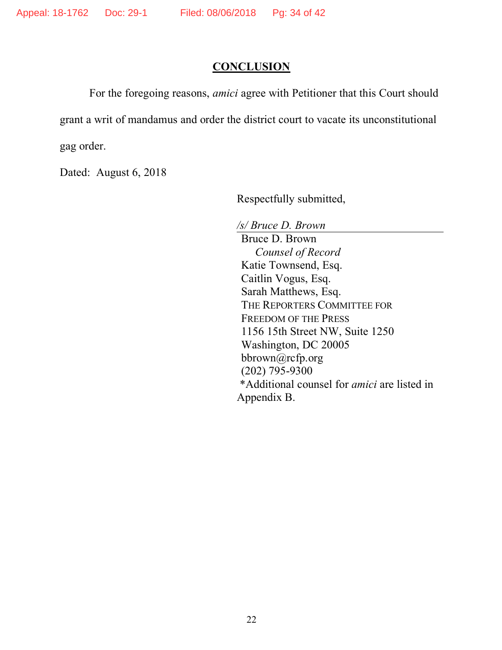## **CONCLUSION**

For the foregoing reasons, *amici* agree with Petitioner that this Court should grant a writ of mandamus and order the district court to vacate its unconstitutional gag order.

Dated: August 6, 2018

Respectfully submitted,

*/s/ Bruce D. Brown*

Bruce D. Brown *Counsel of Record* Katie Townsend, Esq. Caitlin Vogus, Esq. Sarah Matthews, Esq. THE REPORTERS COMMITTEE FOR FREEDOM OF THE PRESS 1156 15th Street NW, Suite 1250 Washington, DC 20005 bbrown@rcfp.org (202) 795-9300 \*Additional counsel for *amici* are listed in Appendix B.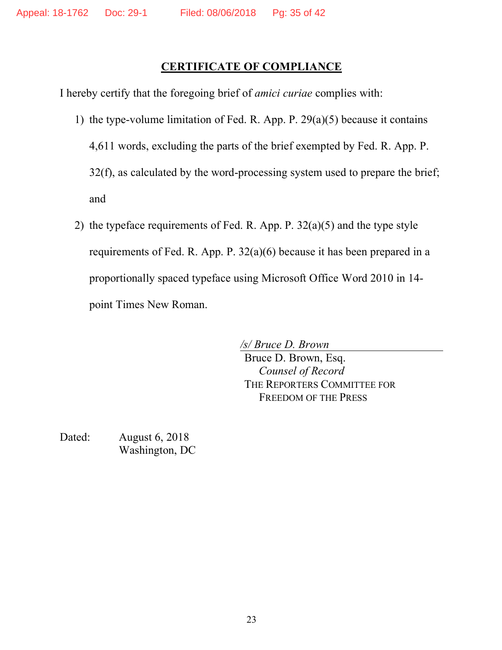## **CERTIFICATE OF COMPLIANCE**

I hereby certify that the foregoing brief of *amici curiae* complies with:

- 1) the type-volume limitation of Fed. R. App. P. 29(a)(5) because it contains 4,611 words, excluding the parts of the brief exempted by Fed. R. App. P. 32(f), as calculated by the word-processing system used to prepare the brief; and
- 2) the typeface requirements of Fed. R. App. P. 32(a)(5) and the type style requirements of Fed. R. App. P. 32(a)(6) because it has been prepared in a proportionally spaced typeface using Microsoft Office Word 2010 in 14 point Times New Roman.

*/s/ Bruce D. Brown* Bruce D. Brown, Esq. *Counsel of Record* THE REPORTERS COMMITTEE FOR FREEDOM OF THE PRESS

Dated: August 6, 2018 Washington, DC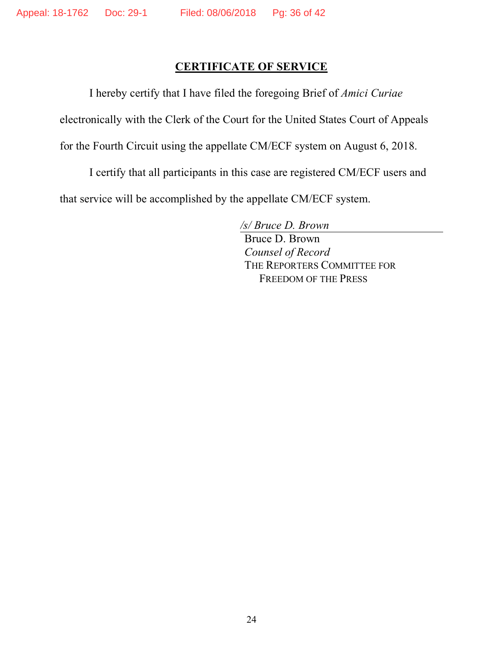## **CERTIFICATE OF SERVICE**

I hereby certify that I have filed the foregoing Brief of *Amici Curiae*

electronically with the Clerk of the Court for the United States Court of Appeals

for the Fourth Circuit using the appellate CM/ECF system on August 6, 2018.

I certify that all participants in this case are registered CM/ECF users and

that service will be accomplished by the appellate CM/ECF system.

*/s/ Bruce D. Brown*

Bruce D. Brown *Counsel of Record* THE REPORTERS COMMITTEE FOR FREEDOM OF THE PRESS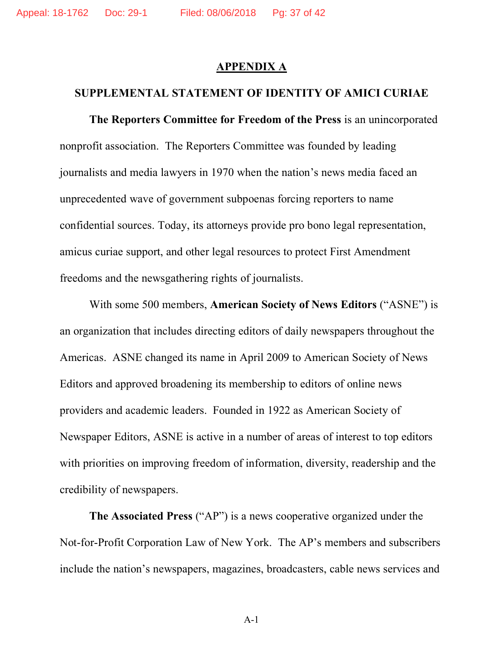## **APPENDIX A**

#### **SUPPLEMENTAL STATEMENT OF IDENTITY OF AMICI CURIAE**

**The Reporters Committee for Freedom of the Press** is an unincorporated nonprofit association. The Reporters Committee was founded by leading journalists and media lawyers in 1970 when the nation's news media faced an unprecedented wave of government subpoenas forcing reporters to name confidential sources. Today, its attorneys provide pro bono legal representation, amicus curiae support, and other legal resources to protect First Amendment freedoms and the newsgathering rights of journalists.

With some 500 members, **American Society of News Editors** ("ASNE") is an organization that includes directing editors of daily newspapers throughout the Americas. ASNE changed its name in April 2009 to American Society of News Editors and approved broadening its membership to editors of online news providers and academic leaders. Founded in 1922 as American Society of Newspaper Editors, ASNE is active in a number of areas of interest to top editors with priorities on improving freedom of information, diversity, readership and the credibility of newspapers.

**The Associated Press** ("AP") is a news cooperative organized under the Not-for-Profit Corporation Law of New York. The AP's members and subscribers include the nation's newspapers, magazines, broadcasters, cable news services and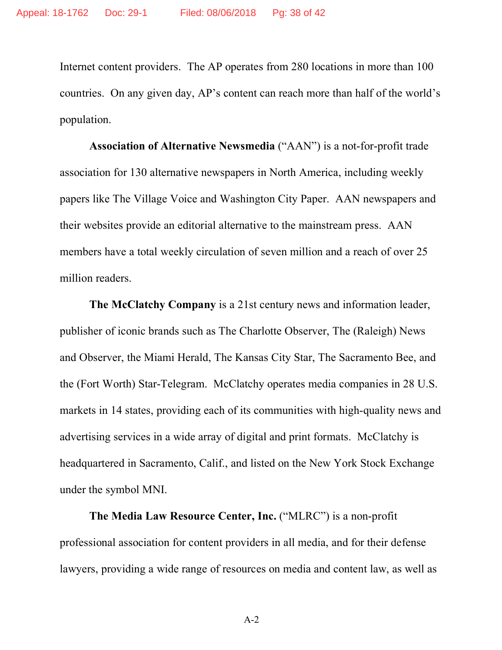Internet content providers. The AP operates from 280 locations in more than 100 countries. On any given day, AP's content can reach more than half of the world's population.

**Association of Alternative Newsmedia** ("AAN") is a not-for-profit trade association for 130 alternative newspapers in North America, including weekly papers like The Village Voice and Washington City Paper. AAN newspapers and their websites provide an editorial alternative to the mainstream press. AAN members have a total weekly circulation of seven million and a reach of over 25 million readers.

**The McClatchy Company** is a 21st century news and information leader, publisher of iconic brands such as The Charlotte Observer, The (Raleigh) News and Observer, the Miami Herald, The Kansas City Star, The Sacramento Bee, and the (Fort Worth) Star-Telegram. McClatchy operates media companies in 28 U.S. markets in 14 states, providing each of its communities with high-quality news and advertising services in a wide array of digital and print formats. McClatchy is headquartered in Sacramento, Calif., and listed on the New York Stock Exchange under the symbol MNI.

**The Media Law Resource Center, Inc.** ("MLRC") is a non-profit professional association for content providers in all media, and for their defense lawyers, providing a wide range of resources on media and content law, as well as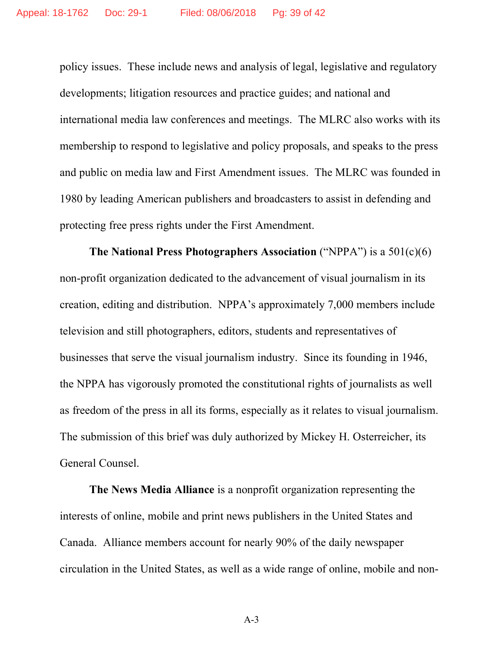policy issues. These include news and analysis of legal, legislative and regulatory developments; litigation resources and practice guides; and national and international media law conferences and meetings. The MLRC also works with its membership to respond to legislative and policy proposals, and speaks to the press and public on media law and First Amendment issues. The MLRC was founded in 1980 by leading American publishers and broadcasters to assist in defending and protecting free press rights under the First Amendment.

**The National Press Photographers Association** ("NPPA") is a 501(c)(6) non-profit organization dedicated to the advancement of visual journalism in its creation, editing and distribution. NPPA's approximately 7,000 members include television and still photographers, editors, students and representatives of businesses that serve the visual journalism industry. Since its founding in 1946, the NPPA has vigorously promoted the constitutional rights of journalists as well as freedom of the press in all its forms, especially as it relates to visual journalism. The submission of this brief was duly authorized by Mickey H. Osterreicher, its General Counsel.

**The News Media Alliance** is a nonprofit organization representing the interests of online, mobile and print news publishers in the United States and Canada. Alliance members account for nearly 90% of the daily newspaper circulation in the United States, as well as a wide range of online, mobile and non-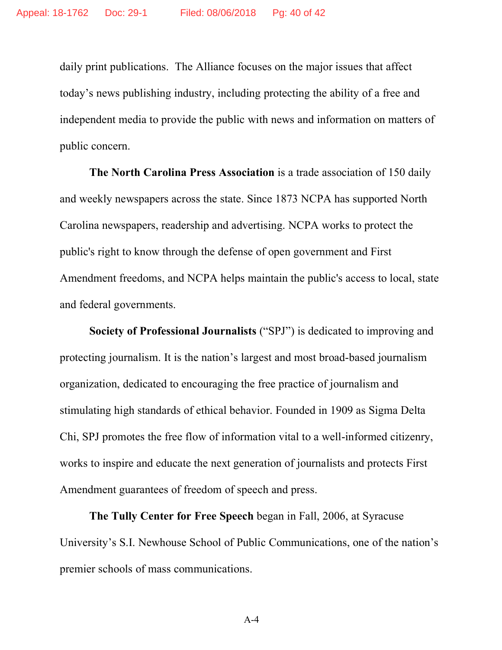daily print publications. The Alliance focuses on the major issues that affect today's news publishing industry, including protecting the ability of a free and independent media to provide the public with news and information on matters of public concern.

**The North Carolina Press Association** is a trade association of 150 daily and weekly newspapers across the state. Since 1873 NCPA has supported North Carolina newspapers, readership and advertising. NCPA works to protect the public's right to know through the defense of open government and First Amendment freedoms, and NCPA helps maintain the public's access to local, state and federal governments.

**Society of Professional Journalists** ("SPJ") is dedicated to improving and protecting journalism. It is the nation's largest and most broad-based journalism organization, dedicated to encouraging the free practice of journalism and stimulating high standards of ethical behavior. Founded in 1909 as Sigma Delta Chi, SPJ promotes the free flow of information vital to a well-informed citizenry, works to inspire and educate the next generation of journalists and protects First Amendment guarantees of freedom of speech and press.

**The Tully Center for Free Speech** began in Fall, 2006, at Syracuse University's S.I. Newhouse School of Public Communications, one of the nation's premier schools of mass communications.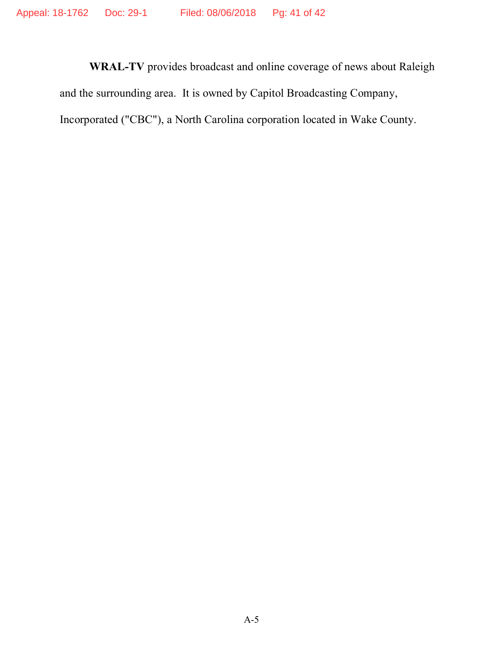**WRAL-TV** provides broadcast and online coverage of news about Raleigh and the surrounding area. It is owned by Capitol Broadcasting Company, Incorporated ("CBC"), a North Carolina corporation located in Wake County.